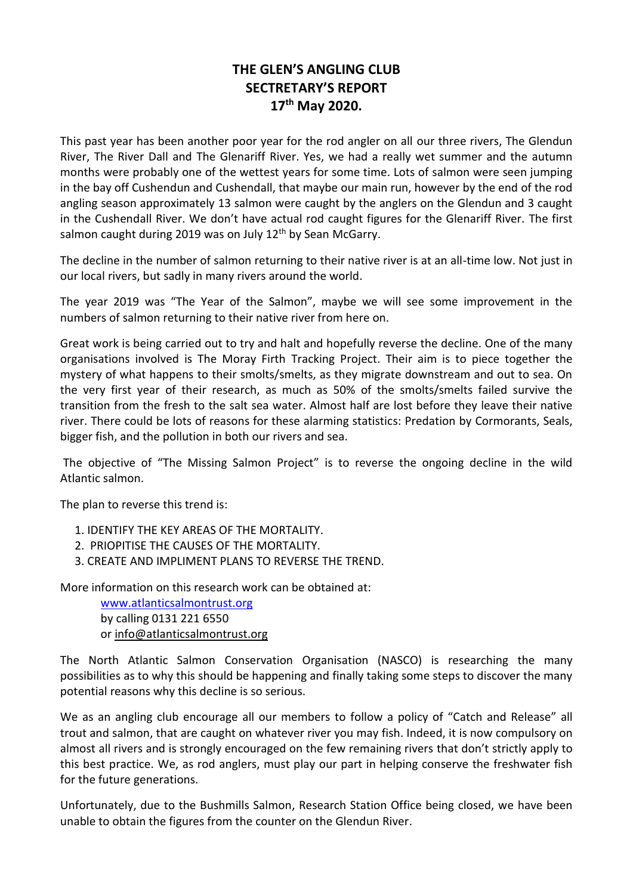## **THE GLEN'S ANGLING CLUB SECTRETARY'S REPORT 17th May 2020.**

This past year has been another poor year for the rod angler on all our three rivers, The Glendun River, The River Dall and The Glenariff River. Yes, we had a really wet summer and the autumn months were probably one of the wettest years for some time. Lots of salmon were seen jumping in the bay off Cushendun and Cushendall, that maybe our main run, however by the end of the rod angling season approximately 13 salmon were caught by the anglers on the Glendun and 3 caught in the Cushendall River. We don't have actual rod caught figures for the Glenariff River. The first salmon caught during 2019 was on July  $12<sup>th</sup>$  by Sean McGarry.

The decline in the number of salmon returning to their native river is at an all-time low. Not just in our local rivers, but sadly in many rivers around the world.

The year 2019 was "The Year of the Salmon", maybe we will see some improvement in the numbers of salmon returning to their native river from here on.

Great work is being carried out to try and halt and hopefully reverse the decline. One of the many organisations involved is The Moray Firth Tracking Project. Their aim is to piece together the mystery of what happens to their smolts/smelts, as they migrate downstream and out to sea. On the very first year of their research, as much as 50% of the smolts/smelts failed survive the transition from the fresh to the salt sea water. Almost half are lost before they leave their native river. There could be lots of reasons for these alarming statistics: Predation by Cormorants, Seals, bigger fish, and the pollution in both our rivers and sea.

The objective of "The Missing Salmon Project" is to reverse the ongoing decline in the wild Atlantic salmon.

The plan to reverse this trend is:

- 1. IDENTIFY THE KEY AREAS OF THE MORTALITY.
- 2. PRIOPITISE THE CAUSES OF THE MORTALITY.
- 3. CREATE AND IMPLIMENT PLANS TO REVERSE THE TREND.

More information on this research work can be obtained at:

 [www.atlanticsalmontrust.org](http://www.atlanticsalmontrust.org/) by calling 0131 221 6550 or [info@atlanticsalmontrust.org](mailto:info@atlanticsalmontrust.org)

The North Atlantic Salmon Conservation Organisation (NASCO) is researching the many possibilities as to why this should be happening and finally taking some steps to discover the many potential reasons why this decline is so serious.

We as an angling club encourage all our members to follow a policy of "Catch and Release" all trout and salmon, that are caught on whatever river you may fish. Indeed, it is now compulsory on almost all rivers and is strongly encouraged on the few remaining rivers that don't strictly apply to this best practice. We, as rod anglers, must play our part in helping conserve the freshwater fish for the future generations.

Unfortunately, due to the Bushmills Salmon, Research Station Office being closed, we have been unable to obtain the figures from the counter on the Glendun River.